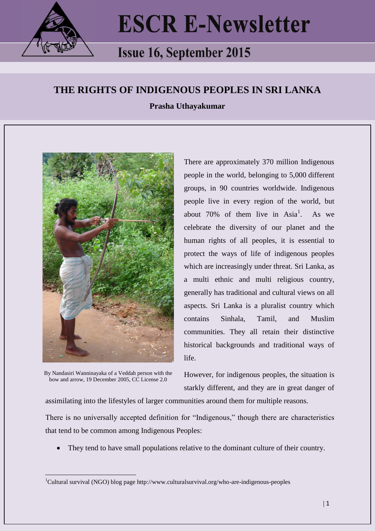

## **ESCR E-Newsletter**

## **Issue 16, September 2015**

## **THE RIGHTS OF INDIGENOUS PEOPLES IN SRI LANKA**

**Prasha Uthayakumar**



By Nandasiri Wanninayaka of a Veddah person with the bow and arrow, 19 December 2005, CC License 2.0

<u>.</u>

There are approximately 370 million Indigenous people in the world, belonging to 5,000 different groups, in 90 countries worldwide. Indigenous people live in every region of the world, but about 70% of them live in  $Asia<sup>1</sup>$ . . As we celebrate the diversity of our planet and the human rights of all peoples, it is essential to protect the ways of life of indigenous peoples which are increasingly under threat. Sri Lanka, as a multi ethnic and multi religious country, generally has traditional and cultural views on all aspects. Sri Lanka is a pluralist country which contains Sinhala, Tamil, and Muslim communities. They all retain their distinctive historical backgrounds and traditional ways of life.

However, for indigenous peoples, the situation is starkly different, and they are in great danger of

assimilating into the lifestyles of larger communities around them for multiple reasons.

There is no universally accepted definition for "Indigenous," though there are characteristics that tend to be common among Indigenous Peoples:

They tend to have small populations relative to the dominant culture of their country.

<sup>&</sup>lt;sup>1</sup>Cultural survival (NGO) blog page http://www.culturalsurvival.org/who-are-indigenous-peoples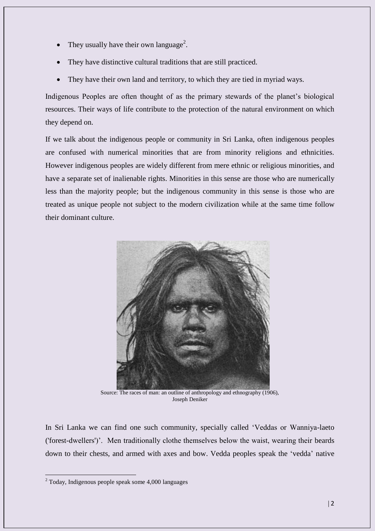- They usually have their own language<sup>2</sup>.
- They have distinctive cultural traditions that are still practiced.
- They have their own land and territory, to which they are tied in myriad ways.

Indigenous Peoples are often thought of as the primary stewards of the planet's biological resources. Their ways of life contribute to the protection of the natural environment on which they depend on.

If we talk about the indigenous people or community in Sri Lanka, often indigenous peoples are confused with numerical minorities that are from minority religions and ethnicities. However indigenous peoples are widely different from mere ethnic or religious minorities, and have a separate set of inalienable rights. Minorities in this sense are those who are numerically less than the majority people; but the indigenous community in this sense is those who are treated as unique people not subject to the modern civilization while at the same time follow their dominant culture.



Source: The races of man: an outline of anthropology and ethnography (1906), Joseph Deniker

In Sri Lanka we can find one such community, specially called 'Veddas or Wanniya-laeto ('forest-dwellers')'. Men traditionally clothe themselves below the waist, wearing their beards down to their chests, and armed with axes and bow. Vedda peoples speak the 'vedda' native

<u>.</u>

 $2$  Today, Indigenous people speak some 4,000 languages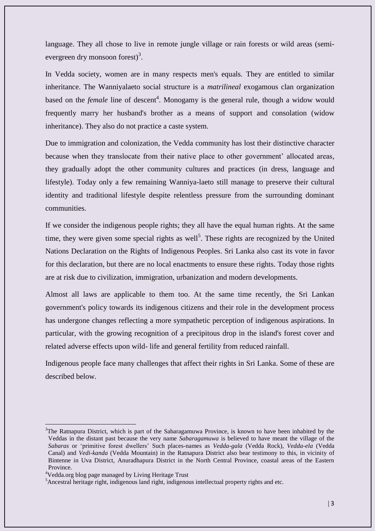language. They all chose to live in remote jungle village or rain forests or wild areas (semievergreen dry monsoon forest)<sup>3</sup>.

In Vedda society, women are in many respects men's equals. They are entitled to similar inheritance. The Wanniyalaeto social structure is a *matrilineal* exogamous clan organization based on the *female* line of descent<sup>4</sup>. Monogamy is the general rule, though a widow would frequently marry her husband's brother as a means of support and consolation [\(widow](https://en.wikipedia.org/wiki/Widow_inheritance)  [inheritance\)](https://en.wikipedia.org/wiki/Widow_inheritance). They also do not practice a [caste](https://en.wikipedia.org/wiki/Caste) system.

Due to immigration and colonization, the Vedda community has lost their distinctive character because when they translocate from their native place to other government' allocated areas, they gradually adopt the other community cultures and practices (in dress, language and lifestyle). Today only a few remaining Wanniya-laeto still manage to preserve their cultural identity and traditional lifestyle despite relentless pressure from the surrounding dominant communities.

If we consider the indigenous people rights; they all have the equal human rights. At the same time, they were given some special rights as well<sup>5</sup>. These rights are recognized by the United Nations Declaration on the Rights of Indigenous Peoples. Sri Lanka also cast its vote in favor for this declaration, but there are no local enactments to ensure these rights. Today those rights are at risk due to civilization, immigration, urbanization and modern developments.

Almost all laws are applicable to them too. At the same time recently, the Sri Lankan government's policy towards its indigenous citizens and their role in the development process has undergone changes reflecting a more sympathetic perception of indigenous aspirations. In particular, with the growing recognition of a precipitous drop in the island's forest cover and related adverse effects upon wild- life and general fertility from reduced rainfall.

Indigenous people face many challenges that affect their rights in Sri Lanka. Some of these are described below.

<u>.</u>

<sup>&</sup>lt;sup>3</sup>The Ratnapura District, which is part of the [Sabaragamuwa Province,](https://en.wikipedia.org/wiki/Sabaragamuwa_Province) is known to have been inhabited by the Veddas in the distant past because the very name *Sabaragamuwa* is believed to have meant the village of the *Sabaras* or 'primitive forest dwellers' Such places-names as *Vedda-gala* (Vedda Rock), *Vedda-ela* (Vedda Canal) and *Vedi-kanda* (Vedda Mountain) in the Ratnapura District also bear testimony to this, in vicinity of Bintenne in Uva District, Anuradhapura District in the North Central Province, coastal areas of the Eastern Province.

<sup>4</sup>Vedda.org blog page managed by Living Heritage Trust

<sup>&</sup>lt;sup>5</sup> Ancestral heritage right, indigenous land right, indigenous intellectual property rights and etc.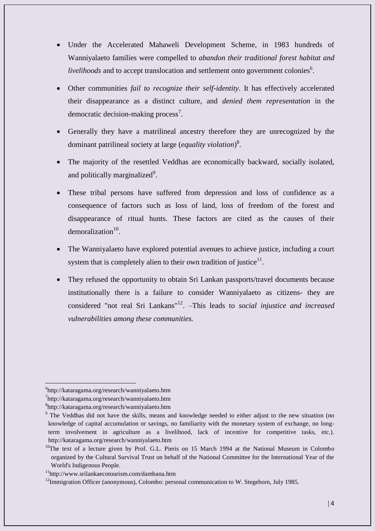- Under the Accelerated Mahaweli Development Scheme, in 1983 hundreds of Wanniyalaeto families were compelled to *abandon their traditional forest habitat and livelihoods* and to accept translocation and settlement onto government colonies<sup>6</sup>.
- Other communities *fail to recognize their self-identity*. It has effectively accelerated their disappearance as a distinct culture, and *denied them representation* in the democratic decision-making process<sup>7</sup>.
- Generally they have a matrilineal ancestry therefore they are unrecognized by the dominant patrilineal society at large (*equality violation*) 8 .
- The majority of the resettled Veddhas are economically backward, socially isolated, and politically marginalized<sup>9</sup>.
- These tribal persons have suffered from depression and loss of confidence as a consequence of factors such as loss of land, loss of freedom of the forest and disappearance of ritual hunts. These factors are cited as the causes of their demoralization $10$ .
- The Wanniyalaeto have explored potential avenues to achieve justice, including a court system that is completely alien to their own tradition of justice $11$ .
- They refused the opportunity to obtain Sri Lankan passports/travel documents because institutionally there is a failure to consider Wanniyalaeto as citizens- they are considered "not real Sri Lankans"<sup>12</sup> . –This leads to *social injustice and increased vulnerabilities among these communities.*

<u>.</u>

<sup>6</sup> http://kataragama.org/research/wanniyalaeto.htm

<sup>7</sup> http://kataragama.org/research/wanniyalaeto.htm

<sup>8</sup> http://kataragama.org/research/wanniyalaeto.htm

<sup>&</sup>lt;sup>9</sup> The Veddhas did not have the skills, means and knowledge needed to either adjust to the new situation (no knowledge of capital accumulation or savings, no familiarity with the monetary system of exchange, no longterm involvement in agriculture as a livelihood, lack of incentive for competitive tasks, etc.). http://kataragama.org/research/wanniyalaeto.htm

<sup>&</sup>lt;sup>10</sup>The text of a lecture given by Prof. G.L. Pieris on 15 March 1994 at the National Museum in Colombo organized by the Cultural Survival Trust on behalf of the National Committee for the International Year of the World's Indigenous People.

<sup>11</sup>http://www.srilankaecotourism.com/dambana.htm

 $12$ Immigration Officer (anonymous), Colombo: personal communication to W. Stegeborn, July 1985.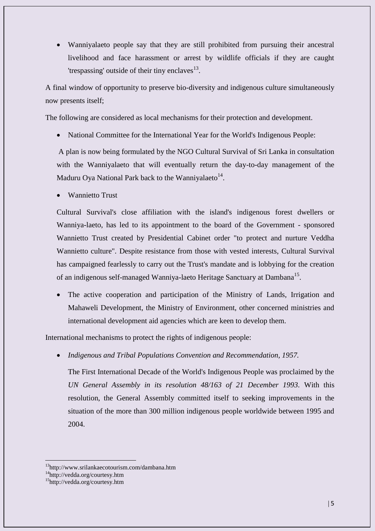Wanniyalaeto people say that they are still prohibited from pursuing their ancestral livelihood and face harassment or arrest by wildlife officials if they are caught 'trespassing' outside of their tiny enclaves $^{13}$ .

A final window of opportunity to preserve bio-diversity and indigenous culture simultaneously now presents itself;

The following are considered as local mechanisms for their protection and development.

National Committee for the International Year for the World's Indigenous People:

A plan is now being formulated by the NGO Cultural Survival of Sri Lanka in consultation with the Wanniyalaeto that will eventually return the day-to-day management of the Maduru Oya National Park back to the Wanniyalaeto<sup>14</sup>.

Wannietto Trust

Cultural Survival's close affiliation with the island's indigenous forest dwellers or Wanniya-laeto, has led to its appointment to the board of the Government - sponsored Wannietto Trust created by Presidential Cabinet order "to protect and nurture Veddha Wannietto culture". Despite resistance from those with vested interests, Cultural Survival has campaigned fearlessly to carry out the Trust's mandate and is lobbying for the creation of an indigenous self-managed Wanniya-laeto Heritage Sanctuary at Dambana<sup>15</sup>.

 The active cooperation and participation of the Ministry of Lands, Irrigation and Mahaweli Development, the Ministry of Environment, other concerned ministries and international development aid agencies which are keen to develop them.

International mechanisms to protect the rights of indigenous people:

*Indigenous and Tribal Populations Convention and Recommendation, 1957.*

The First International Decade of the World's Indigenous People was proclaimed by the *UN General Assembly in its resolution 48/163 of 21 December 1993.* With this resolution, the General Assembly committed itself to seeking improvements in the situation of the more than 300 million indigenous people worldwide between 1995 and 2004.

 $\overline{a}$ 

<sup>13</sup>http://www.srilankaecotourism.com/dambana.htm

<sup>14</sup>http://vedda.org/courtesy.htm

<sup>15</sup>http://vedda.org/courtesy.htm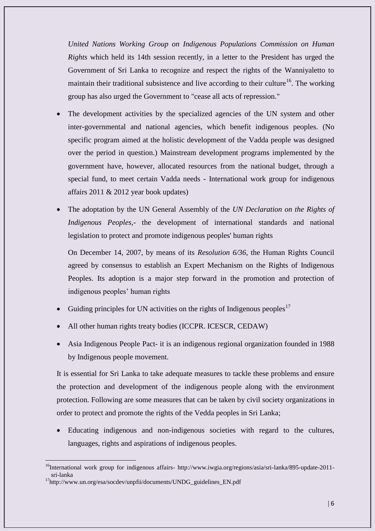*United Nations Working Group on Indigenous Populations Commission on Human Rights* which held its 14th session recently, in a letter to the President has urged the Government of Sri Lanka to recognize and respect the rights of the Wanniyaletto to maintain their traditional subsistence and live according to their culture<sup>16</sup>. The working group has also urged the Government to "cease all acts of repression."

- The development activities by the specialized agencies of the UN system and other inter-governmental and national agencies, which benefit indigenous peoples. (No specific program aimed at the holistic development of the Vadda people was designed over the period in question.) Mainstream development programs implemented by the government have, however, allocated resources from the national budget, through a special fund, to meet certain Vadda needs - International work group for indigenous affairs 2011 & 2012 year book updates)
- The adoptation by the UN General Assembly of the *UN Declaration on the Rights of Indigenous Peoples*,- the development of international standards and national legislation to protect and promote indigenous peoples' human rights

On December 14, 2007, by means of its *Resolution 6/36*, the Human Rights Council agreed by consensus to establish an Expert Mechanism on the Rights of Indigenous Peoples. Its adoption is a major step forward in the promotion and protection of indigenous peoples' human rights

- Guiding principles for UN activities on the rights of Indigenous peoples<sup>17</sup>
- All other human rights treaty bodies (ICCPR. ICESCR, CEDAW)
- Asia Indigenous People Pact- it is an indigenous regional organization founded in 1988 by Indigenous people movement.

It is essential for Sri Lanka to take adequate measures to tackle these problems and ensure the protection and development of the indigenous people along with the environment protection. Following are some measures that can be taken by civil society organizations in order to protect and promote the rights of the Vedda peoples in Sri Lanka;

 Educating indigenous and non-indigenous societies with regard to the cultures, languages, rights and aspirations of indigenous peoples.

 $\overline{a}$ 

<sup>&</sup>lt;sup>16</sup>International work group for indigenous affairs- http://www.iwgia.org/regions/asia/sri-lanka/895-update-2011sri-lanka

<sup>&</sup>lt;sup>17</sup>http://www.un.org/esa/socdev/unpfii/documents/UNDG\_guidelines\_EN.pdf